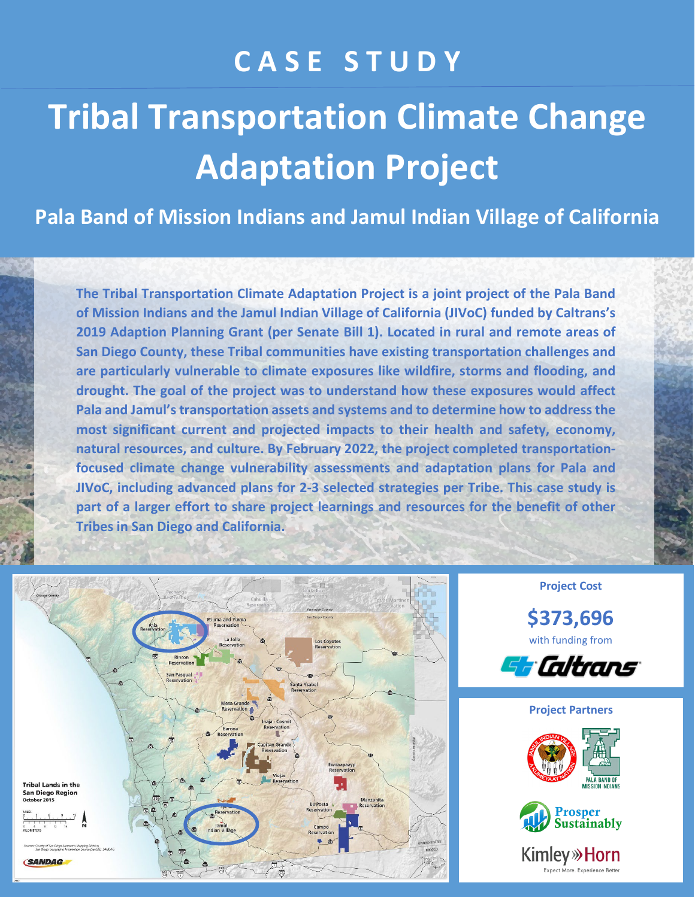## **C A S E S T U D Y**

# **Tribal Transportation Climate Change Adaptation Project**

**Pala Band of Mission Indians and Jamul Indian Village of California**

**The Tribal Transportation Climate Adaptation Project is a joint project of the Pala Band of Mission Indians and the Jamul Indian Village of California (JIVoC) funded by Caltrans's 2019 Adaption Planning Grant (per Senate Bill 1). Located in rural and remote areas of San Diego County, these Tribal communities have existing transportation challenges and are particularly vulnerable to climate exposures like wildfire, storms and flooding, and drought. The goal of the project was to understand how these exposures would affect Pala and Jamul's transportation assets and systems and to determine how to address the most significant current and projected impacts to their health and safety, economy, natural resources, and culture. By February 2022, the project completed transportationfocused climate change vulnerability assessments and adaptation plans for Pala and JIVoC, including advanced plans for 2-3 selected strategies per Tribe. This case study is part of a larger effort to share project learnings and resources for the benefit of other Tribes in San Diego and California.** 



**Project Cost**

**\$373,696** with funding from









**Kimley** »Horn